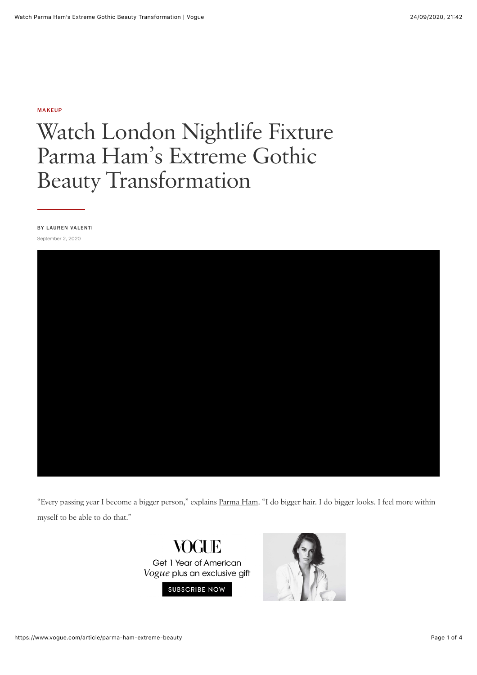#### [MAKEUP](https://www.vogue.com/beauty/makeup)

# Watch London Nightlife Fixture Parma Ham's Extreme Gothic Beauty Transformation

BY [LAUREN VALENTI](https://www.vogue.com/contributor/lauren-valenti) September 2, 2020



"Every passing year I become a bigger person," explains [Parma Ham.](https://www.instagram.com/parma.ham/) "I do bigger hair. I do bigger looks. I feel more within myself to be able to do that."



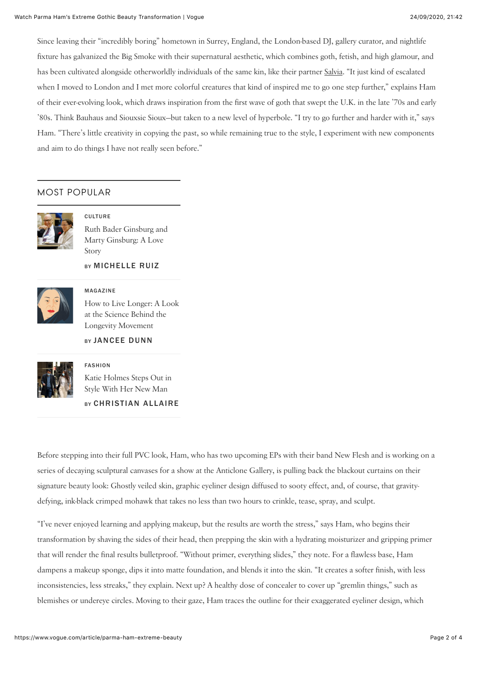Since leaving their "incredibly boring" hometown in Surrey, England, the London-based DJ, gallery curator, and nightlife fixture has galvanized the Big Smoke with their supernatural aesthetic, which combines goth, fetish, and high glamour, and has been cultivated alongside otherworldly individuals of the same kin, like their partner [Salvia](https://www.vogue.com/article/salvia-extreme-beauty-routine). "It just kind of escalated when I moved to London and I met more colorful creatures that kind of inspired me to go one step further," explains Ham of their ever-evolving look, which draws inspiration from the first wave of goth that swept the U.K. in the late '70s and early '80s. Think Bauhaus and Siouxsie Sioux—but taken to a new level of hyperbole. "I try to go further and harder with it," says Ham. "There's little creativity in copying the past, so while remaining true to the style, I experiment with new components and aim to do things I have not really seen before."

## MOST POPULAR



**CULTURE** [Ruth Bader Ginsburg and](https://www.vogue.com/article/may-every-woman-find-her-marty-ginsburg-rbg%23intcid=_vogue-right-rail_57ea1e08-b382-426b-b247-ce93de5612e9_popular4-1) Marty Ginsburg: A Love Story

### BY MICHELLE RUIZ



MAGAZINE [How to Live Longer: A Look](https://www.vogue.com/article/how-to-live-longer-longevity%23intcid=_vogue-right-rail_57ea1e08-b382-426b-b247-ce93de5612e9_popular4-1) at the Science Behind the Longevity Movement

BY JANCEE DUNN



## FASHION

BY CHRISTIAN ALLAIRE [Katie Holmes Steps Out in](https://www.vogue.com/article/katie-holmes-emilio-vitolo-jr-couple-style%23intcid=_vogue-right-rail_57ea1e08-b382-426b-b247-ce93de5612e9_popular4-1) Style With Her New Man

Before stepping into their full PVC look, Ham, who has two upcoming EPs with their band New Flesh and is working on a series of decaying sculptural canvases for a show at the Anticlone Gallery, is pulling back the blackout curtains on their signature beauty look: Ghostly veiled skin, graphic eyeliner design diffused to sooty effect, and, of course, that gravitydefying, ink-black crimped mohawk that takes no less than two hours to crinkle, tease, spray, and sculpt.

"I've never enjoyed learning and applying makeup, but the results are worth the stress," says Ham, who begins their transformation by shaving the sides of their head, then prepping the skin with a hydrating moisturizer and gripping primer that will render the final results bulletproof. "Without primer, everything slides," they note. For a flawless base, Ham dampens a makeup sponge, dips it into matte foundation, and blends it into the skin. "It creates a softer finish, with less inconsistencies, less streaks," they explain. Next up? A healthy dose of concealer to cover up "gremlin things," such as blemishes or undereye circles. Moving to their gaze, Ham traces the outline for their exaggerated eyeliner design, which